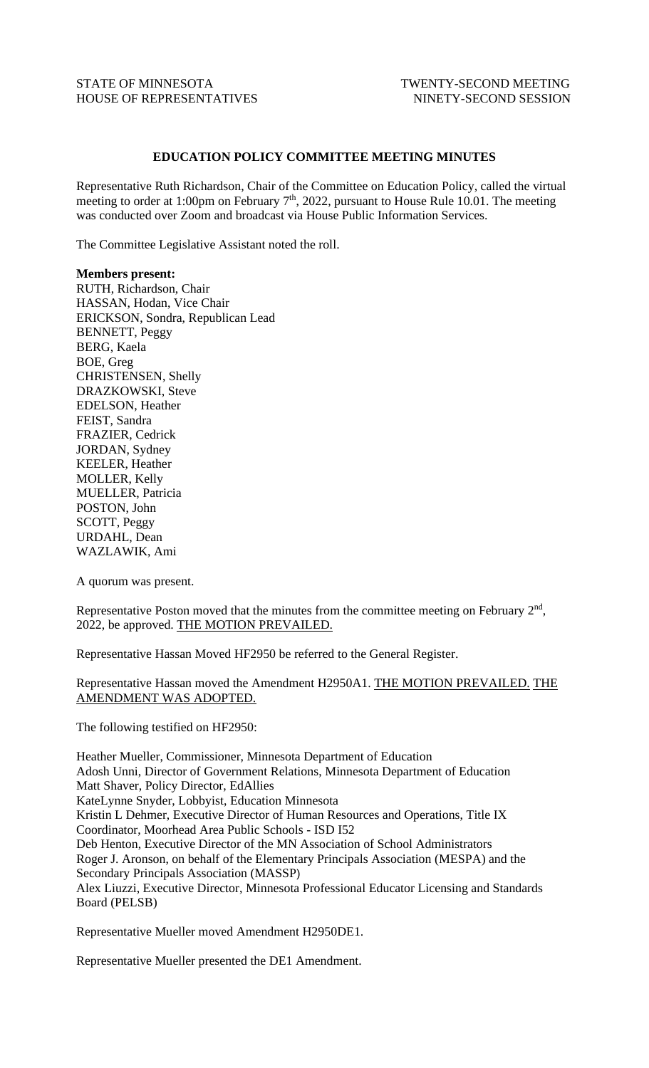## STATE OF MINNESOTA TWENTY-SECOND MEETING HOUSE OF REPRESENTATIVES NINETY-SECOND SESSION

## **EDUCATION POLICY COMMITTEE MEETING MINUTES**

Representative Ruth Richardson, Chair of the Committee on Education Policy, called the virtual meeting to order at 1:00pm on February  $7<sup>th</sup>$ , 2022, pursuant to House Rule 10.01. The meeting was conducted over Zoom and broadcast via House Public Information Services.

The Committee Legislative Assistant noted the roll.

## **Members present:**

RUTH, Richardson, Chair HASSAN, Hodan, Vice Chair ERICKSON, Sondra, Republican Lead BENNETT, Peggy BERG, Kaela BOE, Greg CHRISTENSEN, Shelly DRAZKOWSKI, Steve EDELSON, Heather FEIST, Sandra FRAZIER, Cedrick JORDAN, Sydney KEELER, Heather MOLLER, Kelly MUELLER, Patricia POSTON, John SCOTT, Peggy URDAHL, Dean WAZLAWIK, Ami

A quorum was present.

Representative Poston moved that the minutes from the committee meeting on February  $2<sup>nd</sup>$ , 2022, be approved. THE MOTION PREVAILED.

Representative Hassan Moved HF2950 be referred to the General Register.

Representative Hassan moved the Amendment H2950A1. THE MOTION PREVAILED. THE AMENDMENT WAS ADOPTED.

The following testified on HF2950:

Heather Mueller, Commissioner, Minnesota Department of Education Adosh Unni, Director of Government Relations, Minnesota Department of Education Matt Shaver, Policy Director, EdAllies KateLynne Snyder, Lobbyist, Education Minnesota Kristin L Dehmer, Executive Director of Human Resources and Operations, Title IX Coordinator, Moorhead Area Public Schools - ISD I52 Deb Henton, Executive Director of the MN Association of School Administrators Roger J. Aronson, on behalf of the Elementary Principals Association (MESPA) and the Secondary Principals Association (MASSP) Alex Liuzzi, Executive Director, Minnesota Professional Educator Licensing and Standards Board (PELSB)

Representative Mueller moved Amendment H2950DE1.

Representative Mueller presented the DE1 Amendment.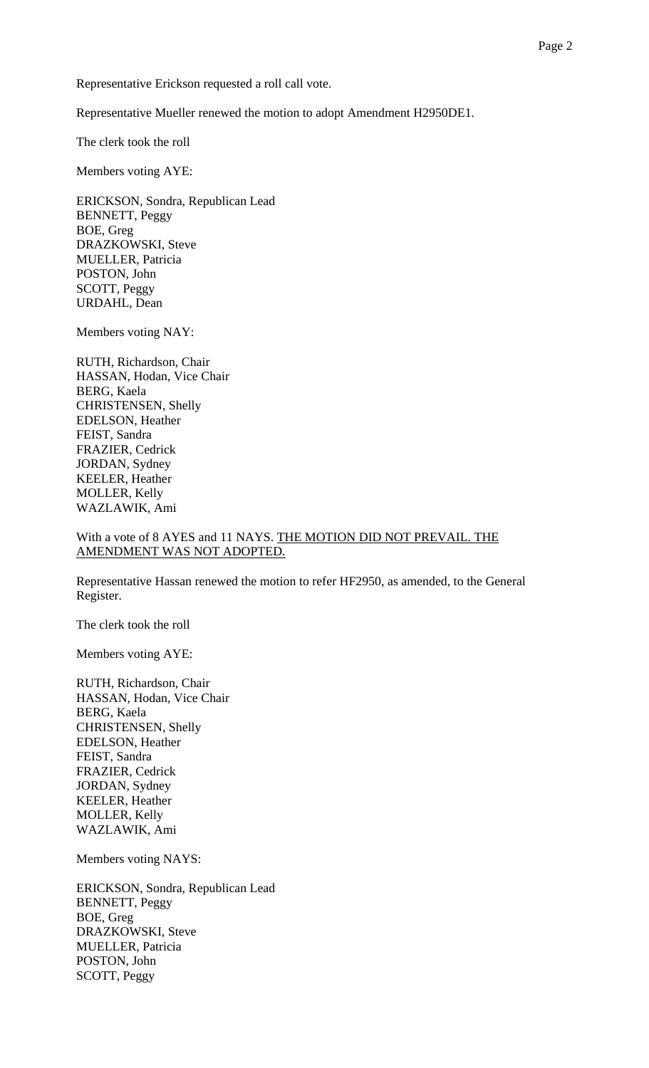Representative Erickson requested a roll call vote.

Representative Mueller renewed the motion to adopt Amendment H2950DE1.

The clerk took the roll

Members voting AYE:

ERICKSON, Sondra, Republican Lead BENNETT, Peggy BOE, Greg DRAZKOWSKI, Steve MUELLER, Patricia POSTON, John SCOTT, Peggy URDAHL, Dean

Members voting NAY:

RUTH, Richardson, Chair HASSAN, Hodan, Vice Chair BERG, Kaela CHRISTENSEN, Shelly EDELSON, Heather FEIST, Sandra FRAZIER, Cedrick JORDAN, Sydney KEELER, Heather MOLLER, Kelly WAZLAWIK, Ami

## With a vote of 8 AYES and 11 NAYS. THE MOTION DID NOT PREVAIL. THE AMENDMENT WAS NOT ADOPTED.

Representative Hassan renewed the motion to refer HF2950, as amended, to the General Register.

The clerk took the roll

Members voting AYE:

RUTH, Richardson, Chair HASSAN, Hodan, Vice Chair BERG, Kaela CHRISTENSEN, Shelly EDELSON, Heather FEIST, Sandra FRAZIER, Cedrick JORDAN, Sydney KEELER, Heather MOLLER, Kelly WAZLAWIK, Ami

Members voting NAYS:

ERICKSON, Sondra, Republican Lead BENNETT, Peggy BOE, Greg DRAZKOWSKI, Steve MUELLER, Patricia POSTON, John SCOTT, Peggy